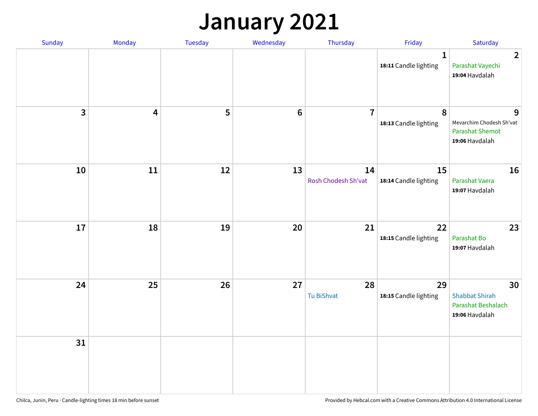### **January 2021**

| Sunday                  | Monday                  | Tuesday | Wednesday | Thursday                  | Friday                                | Saturday                                                                  |
|-------------------------|-------------------------|---------|-----------|---------------------------|---------------------------------------|---------------------------------------------------------------------------|
|                         |                         |         |           |                           | $\mathbf{1}$<br>18:11 Candle lighting | $\overline{2}$<br>Parashat Vayechi<br>19:04 Havdalah                      |
| $\overline{\mathbf{3}}$ | $\overline{\mathbf{4}}$ | 5       | $\bf 6$   | $\overline{7}$            | 8<br>18:13 Candle lighting            | 9<br>Mevarchim Chodesh Sh'vat<br><b>Parashat Shemot</b><br>19:06 Havdalah |
| 10                      | $11\,$                  | 12      | 13        | 14<br>Rosh Chodesh Sh'vat | 15<br>18:14 Candle lighting           | 16<br>Parashat Vaera<br>19:07 Havdalah                                    |
| 17                      | 18                      | 19      | 20        | 21                        | 22<br>18:15 Candle lighting           | 23<br>Parashat Bo<br>19:07 Havdalah                                       |
| 24                      | 25                      | 26      | 27        | 28<br>Tu BiShvat          | 29<br>18:15 Candle lighting           | 30<br><b>Shabbat Shirah</b><br>Parashat Beshalach<br>19:06 Havdalah       |
| 31                      |                         |         |           |                           |                                       |                                                                           |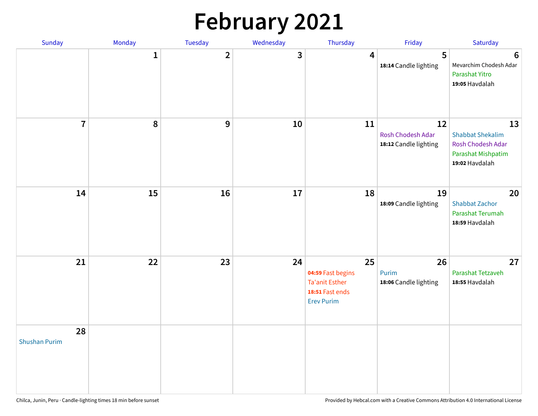# **February 2021**

| Sunday                     | Monday       | Tuesday        | Wednesday | Thursday                                                                                 | Friday                                           | Saturday                                                                                   |
|----------------------------|--------------|----------------|-----------|------------------------------------------------------------------------------------------|--------------------------------------------------|--------------------------------------------------------------------------------------------|
|                            | $\mathbf{1}$ | $\overline{2}$ | 3         | 4                                                                                        | 5<br>18:14 Candle lighting                       | $6\phantom{1}6$<br>Mevarchim Chodesh Adar<br>Parashat Yitro<br>19:05 Havdalah              |
| $\overline{7}$             | ${\bf 8}$    | 9              | 10        | 11                                                                                       | 12<br>Rosh Chodesh Adar<br>18:12 Candle lighting | 13<br><b>Shabbat Shekalim</b><br>Rosh Chodesh Adar<br>Parashat Mishpatim<br>19:02 Havdalah |
| 14                         | 15           | 16             | 17        | 18                                                                                       | 19<br>18:09 Candle lighting                      | 20<br><b>Shabbat Zachor</b><br>Parashat Terumah<br>18:59 Havdalah                          |
| 21                         | 22           | 23             | 24        | 25<br>04:59 Fast begins<br><b>Ta'anit Esther</b><br>18:51 Fast ends<br><b>Erev Purim</b> | 26<br>Purim<br>18:06 Candle lighting             | 27<br>Parashat Tetzaveh<br>18:55 Havdalah                                                  |
| 28<br><b>Shushan Purim</b> |              |                |           |                                                                                          |                                                  |                                                                                            |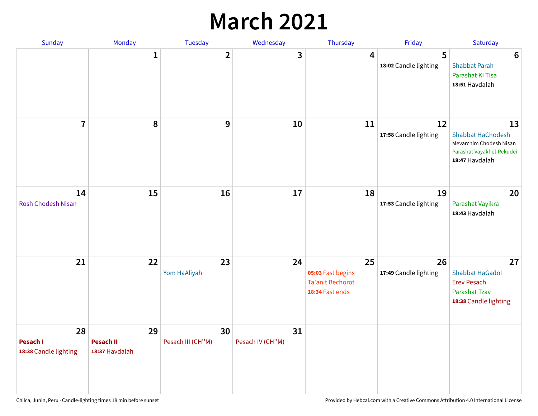### **March 2021**

| Sunday                                  | Monday                                   | Tuesday                 | Wednesday              | Thursday                                                              | Friday                      | Saturday                                                                                                 |
|-----------------------------------------|------------------------------------------|-------------------------|------------------------|-----------------------------------------------------------------------|-----------------------------|----------------------------------------------------------------------------------------------------------|
|                                         | $\mathbf 1$                              | $\overline{2}$          | 3                      | 4                                                                     | 5<br>18:02 Candle lighting  | $6\phantom{1}6$<br><b>Shabbat Parah</b><br>Parashat Ki Tisa<br>18:51 Havdalah                            |
| $\overline{7}$                          | 8                                        | 9                       | 10                     | 11                                                                    | 12<br>17:58 Candle lighting | 13<br><b>Shabbat HaChodesh</b><br>Mevarchim Chodesh Nisan<br>Parashat Vayakhel-Pekudei<br>18:47 Havdalah |
| 14<br><b>Rosh Chodesh Nisan</b>         | 15                                       | 16                      | 17                     | 18                                                                    | 19<br>17:53 Candle lighting | 20<br>Parashat Vayikra<br>18:43 Havdalah                                                                 |
| 21                                      | 22                                       | 23<br>Yom HaAliyah      | 24                     | 25<br>05:03 Fast begins<br><b>Ta'anit Bechorot</b><br>18:34 Fast ends | 26<br>17:49 Candle lighting | 27<br><b>Shabbat HaGadol</b><br><b>Erev Pesach</b><br><b>Parashat Tzav</b><br>18:38 Candle lighting      |
| 28<br>Pesach I<br>18:38 Candle lighting | 29<br><b>Pesach II</b><br>18:37 Havdalah | 30<br>Pesach III (CH"M) | 31<br>Pesach IV (CH"M) |                                                                       |                             |                                                                                                          |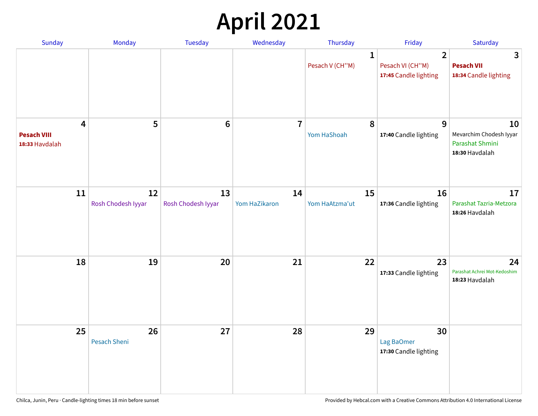# **April 2021**

| Sunday                                                          | Monday                   | <b>Tuesday</b>           | Wednesday               | Thursday                        | Friday                                                      | Saturday                                                           |
|-----------------------------------------------------------------|--------------------------|--------------------------|-------------------------|---------------------------------|-------------------------------------------------------------|--------------------------------------------------------------------|
|                                                                 |                          |                          |                         | $\mathbf{1}$<br>Pesach V (CH"M) | $\overline{2}$<br>Pesach VI (CH"M)<br>17:45 Candle lighting | 3<br><b>Pesach VII</b><br>18:34 Candle lighting                    |
| $\overline{\mathbf{4}}$<br><b>Pesach VIII</b><br>18:33 Havdalah | 5                        | $6\phantom{1}6$          | $\overline{\mathbf{7}}$ | 8<br>Yom HaShoah                | 9<br>17:40 Candle lighting                                  | 10<br>Mevarchim Chodesh Iyyar<br>Parashat Shmini<br>18:30 Havdalah |
| 11                                                              | 12<br>Rosh Chodesh Iyyar | 13<br>Rosh Chodesh Iyyar | 14<br>Yom HaZikaron     | 15<br>Yom HaAtzma'ut            | 16<br>17:36 Candle lighting                                 | 17<br>Parashat Tazria-Metzora<br>18:26 Havdalah                    |
| 18                                                              | 19                       | 20                       | 21                      | 22                              | 23<br>17:33 Candle lighting                                 | 24<br>Parashat Achrei Mot-Kedoshim<br>18:23 Havdalah               |
| 25                                                              | 26<br>Pesach Sheni       | 27                       | 28                      | 29                              | 30<br>Lag BaOmer<br>17:30 Candle lighting                   |                                                                    |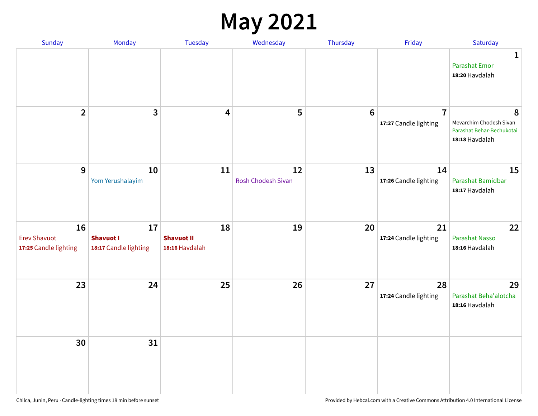#### **May 2021**

| Sunday                                             | Monday                                          | Tuesday                                   | Wednesday                       | Thursday        | Friday                                  | Saturday                                                                    |
|----------------------------------------------------|-------------------------------------------------|-------------------------------------------|---------------------------------|-----------------|-----------------------------------------|-----------------------------------------------------------------------------|
|                                                    |                                                 |                                           |                                 |                 |                                         | 1<br><b>Parashat Emor</b><br>18:20 Havdalah                                 |
| $\overline{2}$                                     | $\overline{3}$                                  | $\overline{\mathbf{4}}$                   | 5                               | $6\phantom{1}6$ | $\overline{7}$<br>17:27 Candle lighting | 8<br>Mevarchim Chodesh Sivan<br>Parashat Behar-Bechukotai<br>18:18 Havdalah |
| $9\,$                                              | 10<br>Yom Yerushalayim                          | 11                                        | 12<br><b>Rosh Chodesh Sivan</b> | 13              | 14<br>17:26 Candle lighting             | 15<br>Parashat Bamidbar<br>18:17 Havdalah                                   |
| 16<br><b>Erev Shavuot</b><br>17:25 Candle lighting | 17<br><b>Shavuot I</b><br>18:17 Candle lighting | 18<br><b>Shavuot II</b><br>18:16 Havdalah | 19                              | 20              | 21<br>17:24 Candle lighting             | 22<br><b>Parashat Nasso</b><br>18:16 Havdalah                               |
| 23                                                 | 24                                              | 25                                        | 26                              | 27              | 28<br>17:24 Candle lighting             | 29<br>Parashat Beha'alotcha<br>18:16 Havdalah                               |
| 30                                                 | 31                                              |                                           |                                 |                 |                                         |                                                                             |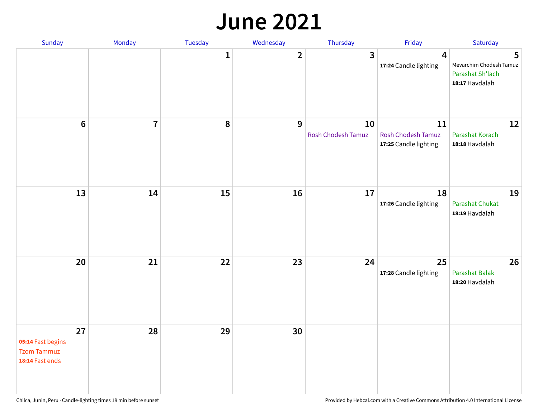#### **June 2021**

| Sunday                                                           | Monday         | Tuesday      | Wednesday      | Thursday                 | Friday                                                   | Saturday                                                           |
|------------------------------------------------------------------|----------------|--------------|----------------|--------------------------|----------------------------------------------------------|--------------------------------------------------------------------|
|                                                                  |                | $\mathbf{1}$ | $\overline{2}$ | $\mathbf{3}$             | 4<br>17:24 Candle lighting                               | 5<br>Mevarchim Chodesh Tamuz<br>Parashat Sh'lach<br>18:17 Havdalah |
| $6\,$                                                            | $\overline{7}$ | 8            | 9              | 10<br>Rosh Chodesh Tamuz | 11<br><b>Rosh Chodesh Tamuz</b><br>17:25 Candle lighting | 12<br><b>Parashat Korach</b><br>18:18 Havdalah                     |
| 13                                                               | 14             | 15           | 16             | 17                       | 18<br>17:26 Candle lighting                              | 19<br><b>Parashat Chukat</b><br>18:19 Havdalah                     |
| 20                                                               | 21             | 22           | 23             | 24                       | 25<br>17:28 Candle lighting                              | 26<br><b>Parashat Balak</b><br>18:20 Havdalah                      |
| 27<br>05:14 Fast begins<br><b>Tzom Tammuz</b><br>18:14 Fast ends | 28             | 29           | 30             |                          |                                                          |                                                                    |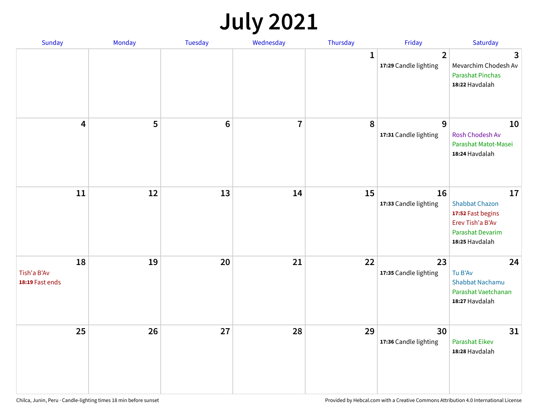### **July 2021**

| Sunday                               | Monday | Tuesday        | Wednesday      | Thursday     | Friday                                  | Saturday                                                                                                          |
|--------------------------------------|--------|----------------|----------------|--------------|-----------------------------------------|-------------------------------------------------------------------------------------------------------------------|
|                                      |        |                |                | $\mathbf{1}$ | $\overline{2}$<br>17:29 Candle lighting | 3<br>Mevarchim Chodesh Av<br><b>Parashat Pinchas</b><br>18:22 Havdalah                                            |
| 4                                    | 5      | $6\phantom{1}$ | $\overline{7}$ | 8            | 9<br>17:31 Candle lighting              | 10<br>Rosh Chodesh Av<br>Parashat Matot-Masei<br>18:24 Havdalah                                                   |
| $11\,$                               | 12     | 13             | 14             | 15           | 16<br>17:33 Candle lighting             | 17<br><b>Shabbat Chazon</b><br>17:52 Fast begins<br>Erev Tish'a B'Av<br><b>Parashat Devarim</b><br>18:25 Havdalah |
| 18<br>Tish'a B'Av<br>18:19 Fast ends | 19     | 20             | 21             | 22           | 23<br>17:35 Candle lighting             | 24<br>Tu B'Av<br><b>Shabbat Nachamu</b><br>Parashat Vaetchanan<br>18:27 Havdalah                                  |
| 25                                   | 26     | 27             | 28             | 29           | 30<br>17:36 Candle lighting             | 31<br><b>Parashat Eikev</b><br>18:28 Havdalah                                                                     |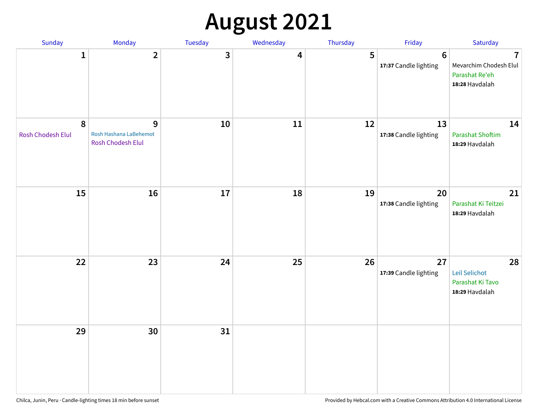# **August 2021**

| Sunday                                | Monday                                                  | Tuesday | Wednesday | Thursday | Friday                                  | Saturday                                                                              |
|---------------------------------------|---------------------------------------------------------|---------|-----------|----------|-----------------------------------------|---------------------------------------------------------------------------------------|
| $\mathbf{1}$                          | $\overline{2}$                                          | 3       | 4         | 5        | $6\phantom{1}$<br>17:37 Candle lighting | $\overline{\mathbf{I}}$<br>Mevarchim Chodesh Elul<br>Parashat Re'eh<br>18:28 Havdalah |
| $\boldsymbol{8}$<br>Rosh Chodesh Elul | 9<br>Rosh Hashana LaBehemot<br><b>Rosh Chodesh Elul</b> | $10\,$  | 11        | 12       | 13<br>17:38 Candle lighting             | 14<br><b>Parashat Shoftim</b><br>18:29 Havdalah                                       |
| 15                                    | 16                                                      | 17      | 18        | 19       | 20<br>17:38 Candle lighting             | 21<br>Parashat Ki Teitzei<br>18:29 Havdalah                                           |
| 22                                    | 23                                                      | 24      | 25        | 26       | 27<br>17:39 Candle lighting             | 28<br>Leil Selichot<br>Parashat Ki Tavo<br>18:29 Havdalah                             |
| 29                                    | 30                                                      | 31      |           |          |                                         |                                                                                       |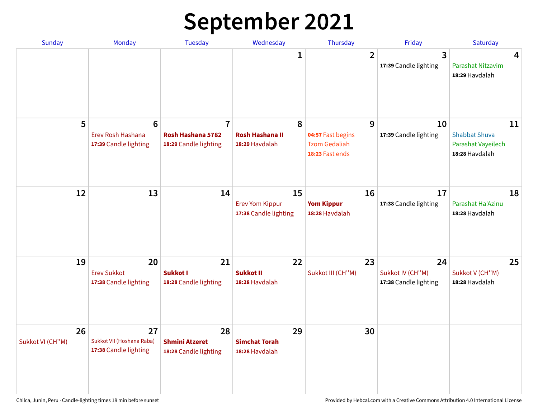# **September 2021**

| <b>Sunday</b>          | <b>Monday</b>                                                 | <b>Tuesday</b>                                               | Wednesday                                             | Thursday                                                          | Friday                                          | Saturday                                                           |
|------------------------|---------------------------------------------------------------|--------------------------------------------------------------|-------------------------------------------------------|-------------------------------------------------------------------|-------------------------------------------------|--------------------------------------------------------------------|
|                        |                                                               |                                                              | 1                                                     | $\overline{2}$                                                    | 3<br>17:39 Candle lighting                      | 4<br>Parashat Nitzavim<br>18:29 Havdalah                           |
| 5                      | $6\phantom{1}6$<br>Erev Rosh Hashana<br>17:39 Candle lighting | $\overline{7}$<br>Rosh Hashana 5782<br>18:29 Candle lighting | 8<br><b>Rosh Hashana II</b><br>18:29 Havdalah         | 9<br>04:57 Fast begins<br><b>Tzom Gedaliah</b><br>18:23 Fast ends | 10<br>17:39 Candle lighting                     | 11<br><b>Shabbat Shuva</b><br>Parashat Vayeilech<br>18:28 Havdalah |
| 12                     | 13                                                            | 14                                                           | 15<br><b>Erev Yom Kippur</b><br>17:38 Candle lighting | 16<br><b>Yom Kippur</b><br>18:28 Havdalah                         | 17<br>17:38 Candle lighting                     | 18<br>Parashat Ha'Azinu<br>18:28 Havdalah                          |
| 19                     | 20<br><b>Erev Sukkot</b><br>17:38 Candle lighting             | 21<br>Sukkot I<br>18:28 Candle lighting                      | 22<br><b>Sukkot II</b><br>18:28 Havdalah              | 23<br>Sukkot III (CH"M)                                           | 24<br>Sukkot IV (CH"M)<br>17:38 Candle lighting | 25<br>Sukkot V (CH"M)<br>18:28 Havdalah                            |
| 26<br>Sukkot VI (CH"M) | 27<br>Sukkot VII (Hoshana Raba)<br>17:38 Candle lighting      | 28<br><b>Shmini Atzeret</b><br>18:28 Candle lighting         | 29<br><b>Simchat Torah</b><br>18:28 Havdalah          | 30                                                                |                                                 |                                                                    |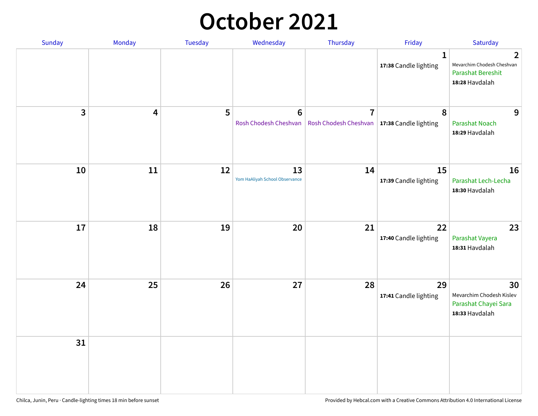#### **October 2021**

| Sunday       | Monday | Tuesday | Wednesday                               | Thursday                                                        | Friday                                | Saturday                                                                                   |
|--------------|--------|---------|-----------------------------------------|-----------------------------------------------------------------|---------------------------------------|--------------------------------------------------------------------------------------------|
|              |        |         |                                         |                                                                 | $\mathbf{1}$<br>17:38 Candle lighting | $\overline{2}$<br>Mevarchim Chodesh Cheshvan<br><b>Parashat Bereshit</b><br>18:28 Havdalah |
| $\mathbf{3}$ | 4      | 5       | $6\phantom{1}$<br>Rosh Chodesh Cheshvan | $\overline{7}$<br>Rosh Chodesh Cheshvan   17:38 Candle lighting | 8                                     | 9<br><b>Parashat Noach</b><br>18:29 Havdalah                                               |
| 10           | 11     | 12      | 13<br>Yom HaAliyah School Observance    | 14                                                              | 15<br>17:39 Candle lighting           | 16<br>Parashat Lech-Lecha<br>18:30 Havdalah                                                |
| 17           | 18     | 19      | 20                                      | 21                                                              | 22<br>17:40 Candle lighting           | 23<br>Parashat Vayera<br>18:31 Havdalah                                                    |
| 24           | 25     | 26      | 27                                      | 28                                                              | 29<br>17:41 Candle lighting           | 30<br>Mevarchim Chodesh Kislev<br>Parashat Chayei Sara<br>18:33 Havdalah                   |
| 31           |        |         |                                         |                                                                 |                                       |                                                                                            |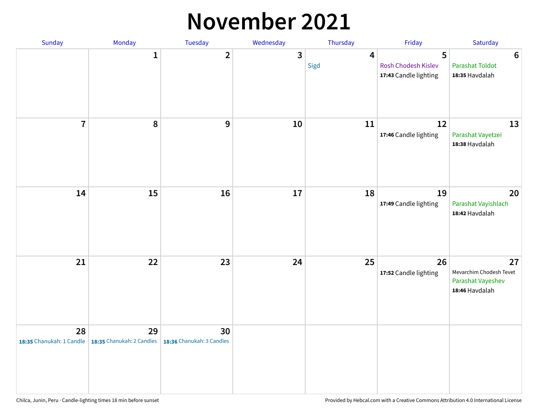#### **November 2021**

| Sunday         | Monday                                                   | Tuesday                         | Wednesday    | Thursday               | Friday                                            | Saturday                                                             |
|----------------|----------------------------------------------------------|---------------------------------|--------------|------------------------|---------------------------------------------------|----------------------------------------------------------------------|
|                | $\mathbf{1}$                                             | $\mathbf{2}$                    | $\mathbf{3}$ | $\overline{4}$<br>Sigd | 5<br>Rosh Chodesh Kislev<br>17:43 Candle lighting | $\boldsymbol{6}$<br><b>Parashat Toldot</b><br>18:35 Havdalah         |
| $\overline{7}$ | 8                                                        | 9                               | $10\,$       | 11                     | 12<br>17:46 Candle lighting                       | 13<br>Parashat Vayetzei<br>18:38 Havdalah                            |
| 14             | 15                                                       | 16                              | 17           | 18                     | 19<br>17:49 Candle lighting                       | 20<br>Parashat Vayishlach<br>18:42 Havdalah                          |
| 21             | 22                                                       | 23                              | 24           | 25                     | 26<br>17:52 Candle lighting                       | 27<br>Mevarchim Chodesh Tevet<br>Parashat Vayeshev<br>18:46 Havdalah |
| 28             | 29<br>18:35 Chanukah: 1 Candle 18:35 Chanukah: 2 Candles | 30<br>18:36 Chanukah: 3 Candles |              |                        |                                                   |                                                                      |